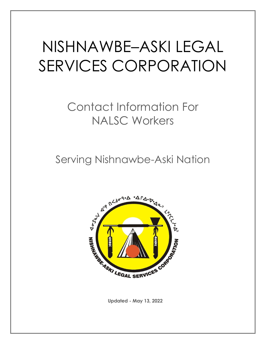# NISHNAWBE–ASKI LEGAL SERVICES CORPORATION

# Contact Information For NALSC Workers

Serving Nishnawbe-Aski Nation



**Updated - May 13, 2022**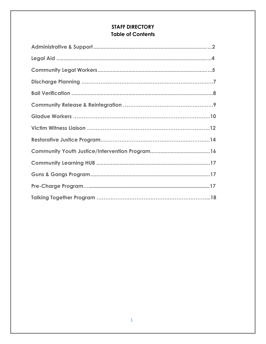# **STAFF DIRECTORY Table of Contents**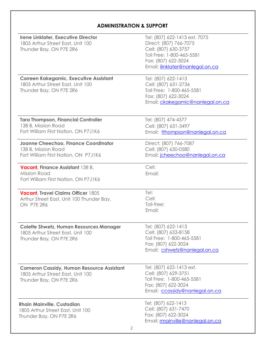# **ADMINISTRATION & SUPPORT**

| <b>Irene Linklater, Executive Director</b><br>1805 Arthur Street East, Unit 100<br>Thunder Bay, ON P7E 2R6       | Tel: (807) 622-1413 ext. 7075<br>Direct: (807) 766-7075<br>Cell: (807) 630-3757<br>Toll Free: 1-800-465-5581<br>Fax: (807) 622-3024<br>Email: <i>ilinklater@nanlegal.on.ca</i> |
|------------------------------------------------------------------------------------------------------------------|--------------------------------------------------------------------------------------------------------------------------------------------------------------------------------|
| <b>Correen Kakegamic, Executive Assistant</b><br>1805 Arthur Street East, Unit 100<br>Thunder Bay, ON P7E 2R6    | Tel: (807) 622-1413<br>Cell: (807) 631-2736<br>Toll Free: 1-800-465-5581<br>Fax: (807) 622-3024<br>Email: ckakegamic@nanlegal.on.ca                                            |
| <b>Tara Thompson, Financial Controller</b><br>138 B, Mission Road<br>Fort William First Nation, ON P7J1K6        | Tel: (807) 474-4377<br>Cell: (807) 631-3497<br>Email: tthompson@nanlegal.on.ca                                                                                                 |
| <b>Joanne Cheechoo, Finance Coordinator</b><br>138 B, Mission Road<br>Fort William First Nation, ON P7J1K6       | Direct: (807) 766-7087<br>Cell: (807) 630-0580<br>Email: jcheechoo@nanlegal.on.ca                                                                                              |
| <b>Vacant, Finance Assistant 138 B,</b><br>Mission Road<br>Fort William First Nation, ON P7J1K6                  | Cell:<br>Email:                                                                                                                                                                |
| <b>Vacant, Travel Claims Officer 1805</b><br>Arthur Street East, Unit 100 Thunder Bay,<br>ON P7E 2R6             | Tel:<br>Cell:<br>Toll-free:<br>Email:                                                                                                                                          |
| <b>Colette Shwetz, Human Resources Manager</b><br>1805 Arthur Street East, Unit 100<br>Thunder Bay, ON P7E 2R6   | Tel: (807) 622-1413<br>Cell: (807) 633-8158<br>Toll Free: 1-800-465-5581<br>Fax: (807) 622-3024<br>Email: cshwetz@nanlegal.on.ca                                               |
| <b>Cameron Cassidy, Human Resource Assistant</b><br>1805 Arthur Street East, Unit 100<br>Thunder Bay, ON P7E 2R6 | Tel: (807) 622-1413 ext.<br>Cell: (807) 629-3751<br>Toll Free: 1-800-465-5581<br>Fax: (807) 622-3024<br>Email: ccassidy@nanlegal.on.ca                                         |
| <b>Rhain Mainville, Custodian</b><br>1805 Arthur Street East, Unit 100<br>Thunder Bay, ON P7E 2R6                | Tel: (807) 622-1413<br>Cell: (807) 631-7470<br>Fax: (807) 622-3024<br>Email: mainville@nanlegal.on.ca                                                                          |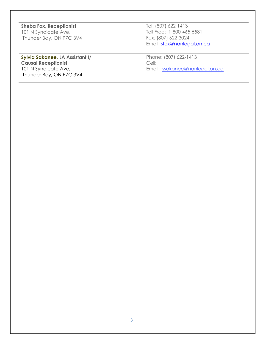**Sheba Fox, Receptionist** 101 N Syndicate Ave, Thunder Bay, ON P7C 3V4

**Sylvia Sakanee, LA Assistant I/ Causal Receptionist**  101 N Syndicate Ave, Thunder Bay, ON P7C 3V4

Tel: (807) 622-1413 Toll Free: 1-800-465-5581 Fax: (807) 622-3024 Email: [sfox@nanlegal.on.ca](mailto:sfox@nanlegal.on.ca)

Phone: (807) 622-1413 Cell: Email: ssakanee@nanlegal.on.ca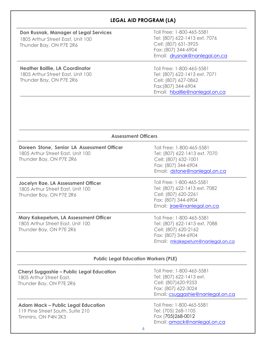# **LEGAL AID PROGRAM (LA)**

# **Don Rusnak, Manager of Legal Services**

1805 Arthur Street East, Unit 100 Thunder Bay, ON P7E 2R6

Toll Free: 1-800-465-5581 Tel: (807) 622-1413 ext. 7076 Cell: (807) 631-3925 Fax: (807) 344-6904 Email: drusnak@nanlegal.on.ca

# **Heather Baillie, LA Coordinator**

1805 Arthur Street East, Unit 100 Thunder Bay, ON P7E 2R6

Toll Free: 1-800-465-5581 Tel: (807) 622-1413 ext. 7071 Cell: (807) 627-0862 Fax:(807) 344-6904 Email: [hbaillie@nanlegal.o](mailto:bailliht@lao.on.ca)n.ca

| <b>Assessment Officers</b>                                                                                 |                                                                                                                                                |  |
|------------------------------------------------------------------------------------------------------------|------------------------------------------------------------------------------------------------------------------------------------------------|--|
| Doreen Stone, Senior LA Assessment Officer<br>1805 Arthur Street East, Unit 100<br>Thunder Bay, ON P7E 2R6 | Toll Free: 1-800-465-5581<br>Tel: (807) 622-1413 ext. 7070<br>Cell: (807) 632-1001<br>Fax: (807) 344-6904<br>Email: dstone@nanlegal.on.ca      |  |
| Jocelyn Rae, LA Assessment Officer<br>1805 Arthur Street East, Unit 100<br>Thunder Bay, ON P7E 2R6         | Toll Free: 1-800-465-5581<br>Tel: (807) 622-1413 ext. 7082<br>Cell: (807) 620-2261<br>Fax: (807) 344-6904<br>Email: <i>jrae@nanlegal.on.ca</i> |  |
| Mary Kakepetum, LA Assessment Officer<br>1805 Arthur Street East, Unit 100<br>Thunder Bay, ON P7E 2R6      | Toll Free: 1-800-465-5581<br>Tel: (807) 622-1413 ext. 7088<br>Cell: (807) 620-2162<br>Fax: (807) 344-6904<br>Email: mkakepetum@nanlegal.on.ca  |  |
| <b>Public Legal Education Workers (PLE)</b>                                                                |                                                                                                                                                |  |
| <b>Cheryl Suggashie - Public Legal Education</b><br>1805 Arthur Street East.<br>Thunder Bay, ON P7E 2R6    | Toll Free: 1-800-465-5581<br>Tel: (807) 622-1413 ext.<br>Cell: (807) 620-9253<br>Fax: (807) 622-3024<br>Email: csuggashie@nanlegal.on.ca       |  |
| <b>Adam Mack - Public Legal Education</b><br>119 Pine Street South, Suite 210<br>Timmins, ON P4N 2K3       | Toll Free: 1-800-465-5581<br>Tel: (705) 268-1105<br>Fax (705) 268-0012<br>Email: amack@nanlegal.on.ca<br>4                                     |  |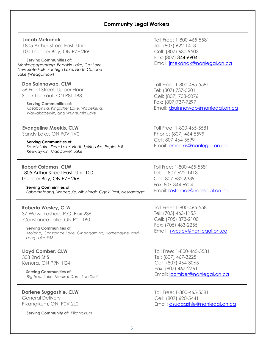#### **Community Legal Workers**

#### **Jacob Mekanak**

1805 Arthur Street East, Unit 100 Thunder Bay, ON P7E 2R6

#### **Serving Communities of:**

*Mishkeegogamang, Bearskin Lake, Cat Lake New Slate Falls, Sachigo Lake, North Caribou Lake (Weagamow)*

#### **Don Sainnawap, CLW**

56 Front Street, Upper Floor Sioux Lookout, ON P8T 1B8

#### **Serving Communities of:**

*Kasabonika, Kingfisher Lake, Wapekeka, Wawakapewin, and Wunnumin Lake*

#### **Evangeline Meekis, CLW**

Sandy Lake, ON P0V 1V0

#### **Serving Communities of:**

*Sandy Lake, Deer Lake, North Spirit Lake, Poplar Hill, Keewaywin, MacDowell Lake*

**Robert Ostamas, CLW** 1805 Arthur Street East, Unit 100 Thunder Bay, ON P7E 2R6

#### **Serving Comminities of:**

*Eabametoong, Webequie, Nibinimak, Ogoki Post, Neskantaga*

#### **Roberta Wesley, CLW**

37 Wawakashoo, P.O. Box 236 Constance Lake, ON P0L 1B0

#### **Serving Communities of:**

*Aroland, Constance Lake, Ginoogaming, Hornepayne, and Long Lake #58*

#### **Lloyd Comber, CLW** 308 2nd St S,

Kenora, ON P9N 1G4

**Serving Communities of:** *Big Trout Lake, Muskrat Dam, Lac Seul*

# **Darlene Suggashie, CLW**

General Delivery Pikangikum, ON P0V 2L0

**Serving Community of:** *Pikangikum*

Toll Free: 1-800-465-5581 Tel: (807) 622-1413 Cell: (807) 630-9503 Fax: (807) 344-6904 Email: [jmekanak@nanlegal.on.ca](mailto:jmekanak@nanlegal.on.ca)

Toll Free: 1-800-465-5581 Tel: (807) 737-5201 Cell: (807) 738-5076 Fax: (807)737-7297 Email: [dsainnawap@nanlegal.on.ca](mailto:dsainnawap@nanlegal.on.ca)

Toll Free: 1-800-465-5581 Phone: (807) 464-5599 Cell: 807-464-5599 Email: emeekis@nanlegal.on.ca

Toll Free: 1-800-465-5581 Tel: 1-807-622-1413 Cell: 807-632-6339 Fax: 807-344-6904 Email: [rostamas@nanlegal.on.ca](mailto: rostamas@nanlegal.on.ca)

Toll Free: 1-800-465-5581 Tel: (705) 463-1155 Cell: (7[05\) 373-2100](mailto:rwesley@nanlegal.on.ca) Fax: (705) 463-2255 Email: rwesley@nanlegal.on.ca

Toll Free: 1-800-465-5581 Tel: (8[07\) 467-3225](mailto:lcomber@nanlegal.on.ca)  Cell: (807) 464-3065 Fax: (807) 467-2761 Email: [lcomber@nanlegal.on.ca](mailto:dsuggashie@nanlegal.on.ca)

Toll Free: 1-800-465-5581 Cell: (807) 620-5441 Email: dsuggashie@nanlegal.on.ca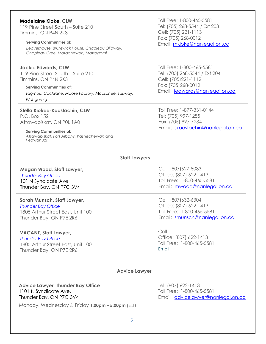#### **Madelaine Kioke, CLW**

119 Pine Street South – Suite 210 Timmins, ON P4N 2K3

#### **Serving Communities of:**

*Beaverhouse, Brunswick House, Chapleau Ojibway, Chapleau Cree, Matachewan, Mattagami*

#### **Jackie Edwards, CLW**

119 Pine Street South – Suite 210 Timmins, ON P4N 2K3

**Serving Communities of:** *Tagmou, Cochrane, Moose Factory, Moosonee, Takway, Wahgoshig*

#### **Stella Kiokee-Koostachin, CLW**

P.O. Box 152 Attawapiskat, ON P0L 1A0

#### **Serving Communities of:**

*Attawapiskat, Fort Albany, Kashechewan and Peawanuck*

Toll Free: 1-800-465-5581 Tel: (705) 268-5544 / Ext 203 Cell: (705) 221-1113 Fax: (705) 268-0012 Email: mkioke@nanlegal.on.ca

Toll Free: 1-800-465-5581 Tel: (705) 268-5544 / Ext 204 Cell: (705)221-1112 Fax: (705)268-0012 Email: [jedwards@nanlegal.on.ca](mailto:jedwards@nanlegal.on.ca)

Toll Free: 1-877-331-0144 Tel: (705) 997-1285 Fax: (705) 997-7234 Email: [skoostachin@nanlegal.on.ca](mailto:skoostachin@nanlegal.on.ca)

#### **Staff Lawyers**

**Megan Wood, Staff Lawyer,**  *Thunder Bay Office*  101 N Syndicate Ave, Thunder Bay, ON P7C 3V4

#### **Sarah Munsch, Staff Lawyer,**

*Thunder Bay Office*  1805 Arthur Street East, Unit 100 Thunder Bay, ON P7E 2R6

#### **VACANT, Staff Lawyer,**

*Thunder Bay Office*  1805 Arthur Street East, Unit 100 Thunder Bay, ON P7E 2R6

Cell: (807)627-8083 Office: (807) 622-1413 Toll Free: 1-800-465-5581 Email: [mwood@nanlegal.on.ca](mailto:csuggashie@nanlegal.on.ca)

Cell: (807)632-6304 Office: (807) 622-1413 Toll Free: 1-800-465-5581 Email: smunsch@nanlegal.on.ca

Cell: Office: [\(807\) 622-1413](mailto:ahiller@nanlegal.on.ca)  Toll Free: 1-800-465-5581 Email:

#### **Advice Lawyer**

#### **Advice Lawyer, Thunder Bay Office**  1101 N Syndicate Ave, Thunder Bay, ON P7C 3V4

Monday, Wednesday & Friday **1:00pm – 5:00pm** (EST)

Tel: (807) 622-1413 Toll Free: 1-800-465-5581 Email: advicelawyer@nanlegal.on.ca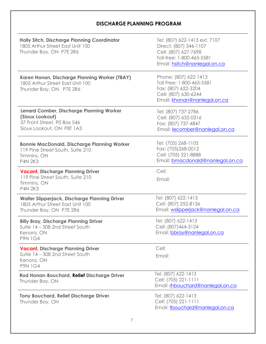# **DISCHARGE PLANNING PROGRAM**

| <b>Holly Sitch, Discharge Planning Coordinator</b><br>1805 Arthur Street East Unit 100<br>Thunder Bay, ON P7E 2R6       | Tel: (807) 622-1413 ext. 7107<br>Direct: (807) 346-1107<br>Cell: (807) 627-7698<br>Toll-free: 1-800-465-5581<br>Email: hsitch@nanlegal.on.ca |
|-------------------------------------------------------------------------------------------------------------------------|----------------------------------------------------------------------------------------------------------------------------------------------|
| Karen Honan, Discharge Planning Worker (TBAY)<br>1805 Arthur Street East Unit 100<br>Thunder Bay, ON P7E 2R6            | Phone: (807) 622-1413<br>Toll Free: 1-800-465-5581<br>Fax: (807) 622-3204<br>Cell: (807) 630-6244<br>Email: khonan@nanlegal.on.ca            |
| Lenard Comber, Discharge Planning Worker<br>(Sioux Lookout)<br>37 Front Street, P0 Box 546<br>Sioux Lookout, ON P8T 1A3 | Tel: (807) 737-2786<br>Cell: (807) 632-0316<br>Fax: (807) 737-4847<br>Email: lecomber@nanlegal.on.ca                                         |
| <b>Bonnie MacDonald, Discharge Planning Worker</b><br>119 Pine Street South, Suite 210<br>Timmins, ON<br><b>P4N 2K3</b> | Tel: (705) 268-1105<br>Fax: (705)268-0012<br>Cell: (705) 221-8888<br>Email: bmacdonald@nanlegal.on.ca                                        |
| <b>Vacant, Discharge Planning Driver</b><br>119 Pine Street South, Suite 210<br>Timmins, ON<br><b>P4N 2K3</b>           | Cell:<br>Email:                                                                                                                              |
| <b>Walter Slipperjack, Discharge Planning Driver</b><br>1805 Arthur Street East Unit 100<br>Thunder Bay, ON P7E 2R6     | Tel: (807) 622-1413<br>Cell: (807) 252-8136<br>Email: wslipperjack@nanlegal.on.ca                                                            |
| <b>Billy Bray, Discharge Planning Driver</b><br>Suite 14 - 308 2nd Street South<br>Kenora, ON<br><b>P9N 1G4</b>         | Tel: (807) 622-1413<br>Cell: (807) 464-3124<br>Email: bbray@nanlegal.on.ca                                                                   |
| <b>Vacant, Discharge Planning Driver</b><br>Suite 14 - 308 2nd Street South<br>Kenora, ON<br><b>P9N 1G4</b>             | Cell:<br>Email:                                                                                                                              |
| <b>Rod Honan-Bouchard, Relief Discharge Driver</b><br>Thunder Bay, ON                                                   | Tel: (807) 622-1413<br>Cell: (705) 221-1111<br>Email: rhbouchard@nanlegal.on.ca                                                              |
| <b>Tony Bouchard, Relief Discharge Driver</b><br>Thunder Bay, ON                                                        | Tel: (807) 622-1413<br>Cell: (705) 221-1111<br>Email: tbouchard@nanlegal.on.ca                                                               |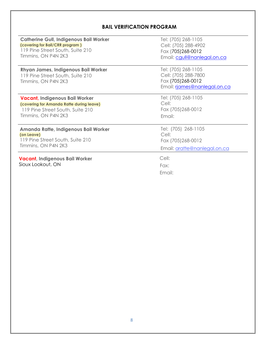# **BAIL VERIFICATION PROGRAM**

| <b>Catherine Gull, Indigenous Bail Worker</b>                                                         | Tel: (705) 268-1105                                                                               |
|-------------------------------------------------------------------------------------------------------|---------------------------------------------------------------------------------------------------|
| (covering for Bail/CRR program)                                                                       | Cell: (705) 288-4902                                                                              |
| 119 Pine Street South, Suite 210                                                                      | Fax (705) 268-0012                                                                                |
| Timmins, ON P4N 2K3                                                                                   | Email: cgull@nanlegal.on.ca                                                                       |
| <b>Rhyan James, Indigenous Bail Worker</b><br>119 Pine Street South, Suite 210<br>Timmins, ON P4N 2K3 | Tel: (705) 268-1105<br>Cell: (705) 288-7800<br>Fax (705) 268-0012<br>Email: riames@nanlegal.on.ca |
| <b>Vacant, Indigenous Bail Worker</b>                                                                 | Tel: (705) 268-1105                                                                               |
| (covering for Amanda Ratte during leave)                                                              | Cell:                                                                                             |
| 119 Pine Street South, Suite 210                                                                      | Fax (705)268-0012                                                                                 |
| Timmins, ON P4N 2K3                                                                                   | Email:                                                                                            |
| Amanda Ratte, Indigenous Bail Worker                                                                  | Tel: (705) 268-1105                                                                               |
| (on Leave)                                                                                            | Cell:                                                                                             |
| 119 Pine Street South, Suite 210                                                                      | Fax (705)268-0012                                                                                 |
| Timmins, ON P4N 2K3                                                                                   | Email: aratte@nanlegal.on.ca                                                                      |
| Vacant, Indigenous Bail Worker<br>Sioux Lookout, ON                                                   | Cell:<br>Fax:<br>Email:                                                                           |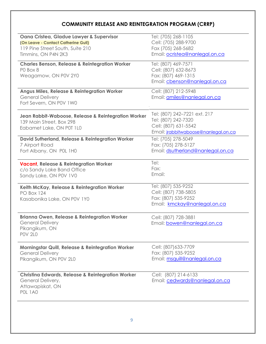# **COMMUNITY RELEASE AND REINTEGRATION PROGRAM (CRRP)**

| (On Leave - Contact Catherine Gull)<br>119 Pine Street South, Suite 210<br>Timmins, ON P4N 2K3<br><b>Charles Benson, Release &amp; Reintegration Worker</b><br>PO Box 8<br>Weagamow, ON P0V 2Y0<br><b>Angus Miles, Release &amp; Reintegration Worker</b><br><b>General Delivery</b> | Cell: (705) 288-9700<br>Fax (705) 268-5682<br>Email: ocristea@nanlegal.on.ca<br>Tel: (807) 469-7571<br>Cell: (807) 632-8673<br>Fax: (807) 469-1315<br>Email: cbenson@nanlegal.on.ca |
|--------------------------------------------------------------------------------------------------------------------------------------------------------------------------------------------------------------------------------------------------------------------------------------|-------------------------------------------------------------------------------------------------------------------------------------------------------------------------------------|
|                                                                                                                                                                                                                                                                                      |                                                                                                                                                                                     |
|                                                                                                                                                                                                                                                                                      |                                                                                                                                                                                     |
|                                                                                                                                                                                                                                                                                      |                                                                                                                                                                                     |
|                                                                                                                                                                                                                                                                                      |                                                                                                                                                                                     |
|                                                                                                                                                                                                                                                                                      |                                                                                                                                                                                     |
|                                                                                                                                                                                                                                                                                      |                                                                                                                                                                                     |
|                                                                                                                                                                                                                                                                                      |                                                                                                                                                                                     |
|                                                                                                                                                                                                                                                                                      | Cell: (807) 212-5948                                                                                                                                                                |
|                                                                                                                                                                                                                                                                                      | Email: amiles@nanlegal.on.ca                                                                                                                                                        |
| Fort Severn, ON P0V 1W0                                                                                                                                                                                                                                                              |                                                                                                                                                                                     |
| Jean Rabbit-Waboose, Release & Reintegration Worker                                                                                                                                                                                                                                  | Tel: (807) 242–7221 ext. 217                                                                                                                                                        |
| 139 Main Street, Box 298                                                                                                                                                                                                                                                             | Tel: (807) 242-7320                                                                                                                                                                 |
| Eabamet Lake, ON P0T 1L0                                                                                                                                                                                                                                                             | Cell: (807) 631-5542                                                                                                                                                                |
|                                                                                                                                                                                                                                                                                      | Email: jrabbitwaboose@nanlegal.on.ca                                                                                                                                                |
| <b>David Sutherland, Release &amp; Reintegration Worker</b>                                                                                                                                                                                                                          | Tel: (705) 278-5049                                                                                                                                                                 |
| 7 Airport Road                                                                                                                                                                                                                                                                       | Fax: (705) 278-5127                                                                                                                                                                 |
| Fort Albany, ON POL 1H0                                                                                                                                                                                                                                                              | Email: dsutherland@nanlegal.on.ca                                                                                                                                                   |
| <b>Vacant, Release &amp; Reintegration Worker</b>                                                                                                                                                                                                                                    | Tel:                                                                                                                                                                                |
| c/o Sandy Lake Band Office                                                                                                                                                                                                                                                           | Fax:                                                                                                                                                                                |
| Sandy Lake, ON P0V 1V0                                                                                                                                                                                                                                                               |                                                                                                                                                                                     |
|                                                                                                                                                                                                                                                                                      | Tel: (807) 535-9252                                                                                                                                                                 |
| <b>PO Box 124</b>                                                                                                                                                                                                                                                                    | Cell: (807) 738-5805                                                                                                                                                                |
| Kasabonika Lake, ON P0V 1Y0                                                                                                                                                                                                                                                          | Fax: (807) 535-9252                                                                                                                                                                 |
|                                                                                                                                                                                                                                                                                      | Email: kmckay@nanlegal.on.ca                                                                                                                                                        |
|                                                                                                                                                                                                                                                                                      |                                                                                                                                                                                     |
|                                                                                                                                                                                                                                                                                      |                                                                                                                                                                                     |
| <b>Brianna Owen, Release &amp; Reintegration Worker</b>                                                                                                                                                                                                                              | Cell: (807) 728-3881                                                                                                                                                                |
| <b>General Delivery</b>                                                                                                                                                                                                                                                              | Email: bowen@nanlegal.on.ca                                                                                                                                                         |
| Pikangikum, ON<br><b>POV 2LO</b>                                                                                                                                                                                                                                                     |                                                                                                                                                                                     |
|                                                                                                                                                                                                                                                                                      |                                                                                                                                                                                     |
| <b>Morningstar Quill, Release &amp; Reintegration Worker</b>                                                                                                                                                                                                                         | Cell: (807) 633-7709                                                                                                                                                                |
| <b>General Delivery</b>                                                                                                                                                                                                                                                              | Fax: (807) 535-9252                                                                                                                                                                 |
| Pikangikum, ON P0V 2L0                                                                                                                                                                                                                                                               | Email: msquill@nanlegal.on.ca                                                                                                                                                       |
| <b>Christina Edwards, Release &amp; Reintegration Worker</b>                                                                                                                                                                                                                         | Cell: (807) 214-6133                                                                                                                                                                |
| General Delivery,                                                                                                                                                                                                                                                                    | Email: cedwards@nanlegal.on.ca                                                                                                                                                      |
| Attawapiskat, ON<br><b>POL 1A0</b>                                                                                                                                                                                                                                                   |                                                                                                                                                                                     |
| Keith McKay, Release & Reintegration Worker                                                                                                                                                                                                                                          | Email:                                                                                                                                                                              |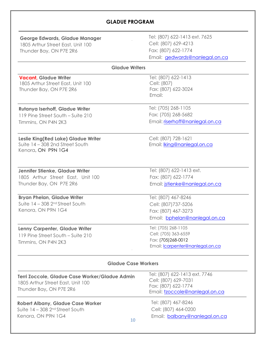# **GLADUE PROGRAM**

|                                   | <b>George Edwards, Gladue Manager</b> |
|-----------------------------------|---------------------------------------|
| 1805 Arthur Street East, Unit 100 |                                       |

Thunder Bay, ON P7E 2R6

Tel: (807) 622-1413 ext. 7625 Cell: (807) 629-4213 Fax: (807) 622-1774 Email: [gedwards@nanlegal.on.ca](mailto:gedwards@nanlegal.on.ca)

#### **Gladue Writers**

**Vacant, Gladue Writer**  1805 Arthur Street East, Unit 100 Thunder Bay, ON P7E 2R6

# **Rutanya Iserhoff, Gladue Writer**

119 Pine Street South – Suite 210 Timmins, ON P4N 2K3

#### **Leslie King(Red Lake) Gladue Writer** Suite 14 – 308 2nd Street South Kenora, ON P9N 1G4

# **Jennifer Stienke, Gladue Writer**

1805 Arthur Street East, Unit 100 Thunder Bay, ON P7E 2R6

#### **Bryan Phelan, Gladue Writer**

Suite 14 – 308 2nd Street South Kenora, ON P9N 1G4

#### **Lenny Carpenter, Gladue Writer**

119 Pine Street South – Suite 210 Timmins, ON P4N 2K3

Tel: (705) 268-1105 Fax: (705) 268-5682 Email: [riserhoff@nanlegal.on.ca](mailto:dmagiskan@nanlegal.on.ca)

Tel: (807) 622-1413

Fax: (807) 622-3024

Cell: (807)

Email:

Cell: (807) 728-1621 Email: lking@nanlegal.on.ca

Tel: (807) 622-1413 ext. Fax: (807) 622-1774 Email: [jstienke@nanlegal.on.c](mailto:thall@nanlegal.on.ca)a

Tel: (807) 467-8246 Cell: (807)737-5206 Fax: (807) 467-3273 Email: [bphelan@nanlegal.on.ca](mailto:bphelan@nanlegal.on.ca)

Tel: (705) 268-1105 Cell: (705) 363-6559 Fax: (7[05\)268-0012](mailto:ralbany@nanlegal.on.ca) Email: lcarpenter@nanlegal.on.ca

#### **Gladue Case Workers**

| Terri Zoccole, Gladue Case Worker/Gladue Admin<br>1805 Arthur Street East, Unit 100<br>Thunder Bay, ON P7E 2R6  | Tel: (807) 622-1413 ext. 7746<br>Cell: (807) 629-7031<br>Fax: (807) 622-1774<br>Email: tzoccole@nanlegal.on.ca |
|-----------------------------------------------------------------------------------------------------------------|----------------------------------------------------------------------------------------------------------------|
| <b>Robert Albany, Gladue Case Worker</b><br>Suite $14 - 308$ 2 <sup>nd</sup> Street South<br>Kenora, ON P9N 1G4 | Tel: (807) 467-8246<br>Cell: (807) 464-0200<br>Email: balbany@nanlegal.on.ca<br>10                             |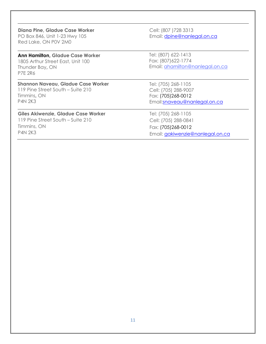**Diana Pine, Gladue Case Worker** PO Box 846, Unit 1-23 Hwy 105 Red Lake, ON P0V 2M0

#### **Ann Hamilton, Gladue Case Worker**

1805 Arthur Street East, Unit 100 Thunder Bay**,** ON P7E 2R6

#### **Shannon Naveau, Gladue Case Worker**

119 Pine Street South – Suite 210 Timmins**,** ON P4N 2K3

#### **Giles Akiwenzie, Gladue Case Worker**

119 Pine Street South – Suite 210 Timmins, ON P4N 2K3

Cell: (807 )728 3313 Email: dpine@nanlegal.on.ca

Tel: (807) 622-1413 Fax: (807)622-1774 Email: ahamilton@nanlegal.on.ca

Tel: (705) 268-1105 Cell: (705) 288-9007 Fax: (705)268-0012 Email:[snaveau@nanlegal.on.ca](mailto:lcarpenter@nanlegal.on.ca)

Tel: (705) 268-1105 Cell: (705) 288-0841 Fax: (705)268-0012 Email: [gakiwenzie@nanlegal.on.ca](mailto:gakiwenzie@nanlegal.on.ca)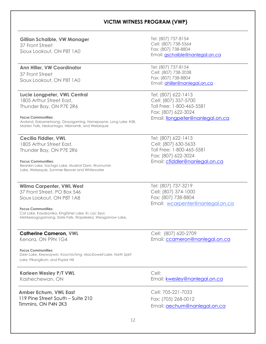## **VICTIM WITNESS PROGRAM (VWP)**

#### **Gillian Schaible, VW Manager**

37 Front Street Sioux Lookout, ON P8T 1A0

#### **Ann Hiller, VW Coordinator**

37 Front Street Sioux Lookout, ON P8T 1A0

#### **Lucie Longpeter, VWL Central**

1805 Arthur Street East, Thunder Bay, ON P7E 2R6

#### **Focus Communities:**

Aroland, Eabametoong, Ginoogaming, Hornepayne, Long Lake #58, Marten Falls, Neskantaga, Nibinamik, and Webequie

# **Cecilia Fiddler, VWL** 1805 Arthur Street East,

Thunder Bay, ON P7E 2R6

#### **Focus Communities:**

Bearskin Lake, Sachigo Lake, Muskrat Dam, Wunnumin Lake, Webequie, Summer Beaver and Whitewater

#### **Wilma Carpenter, VWL West**

37 Front Street, PO Box 546 Sioux Lookout, ON P8T 1A8

#### **Focus Communities:**

Cat Lake, Kasabonika, Kingfisher Lake, KI, Lac Seul, Mishkeeogogamang, Slate Falls, Wapekeka, Weagamow Lake**.**

#### **Catherine Cameron, VWL**

Kenora, ON P9N 1G4

#### **Focus Communities:**

*Deer Lake, Keewaywin, Koochiching, MacDowell Lake, North Spirit Lake, Pikangikum, and Poplar Hill*

# **Karleen Wesley P/T VWL**

Kashechewan, ON

#### **Amber Echum, VWL East** 119 Pine Street South – Suite 210 Timmins, ON P4N 2K3

Tel: (807) 737-8154 Cell: (807) 738-5564 Fax: (807) 738-8804 Email: [gschaible@nanlegal.on.ca](mailto:gschaible@nanlegal.on.ca)

Tel: (807) 737-8154 Cell: (807) 738-2038 Fax: (807) 738-8804 Email: [ahiller@nanlegal.on.ca](mailto:ahiller@nanlegal.on.ca)

Tel: (807) 622-1413 Cell: (807) 357-5700 Toll Free: 1-800-465-5581 Fax: (807) 622-3024 Email: [llongpeter@nanlegal.on.ca](mailto:llongpeter@nanlegal.on.ca)

Tel: (807) 622-1413 Cell: (807) 630-5633 Toll Free: 1-800-465-5581 Fax: (807) 622-3024 Email: [cfiddler@nanlegal.on.ca](mailto:cfiddler@nanlegal.on.ca)

Tel: (807) 737-3219 Cell: (807) [374-1000](mailto:wcarpenter@nanlegal.on.ca) Fax: (807) 738-8804 Email: wcarpenter@nanlegal.on.ca

Cell: (807) 620-2709 Email: ccameron@nanlegal.on.ca

Cell: Email: kwesley@nanlegal.on.ca

Cell: 705-221-7033 Fax: (705) 268-0012 Email: aechum@nanlegal.on.ca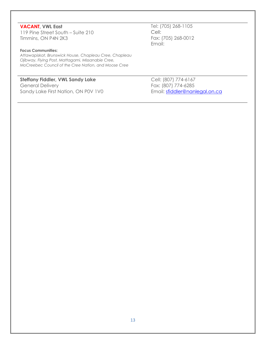#### **VACANT, VWL East**

119 Pine Street South – Suite 210 Timmins, ON P4N 2K3

#### **Focus Communities:**

*Attawapiskat, Brunswick House, Chapleau Cree, Chapleau Ojibway, Flying Post, Mattagami, Missanabie Cree, MoCreebec Council of the Cree Nation, and Moose Cree*

## **Steffany Fiddler, VWL Sandy Lake**

General Delivery Sandy Lake First Nation, ON P0V 1V0 Tel: (705) 268-1105 Cell: Fax: ([705\) 268-0012](mailto:mmohan@nanlegal.on.ca) Email:

Cell: (807) 774-6167 Fax: (807) 774-6285 Email: [sfiddler@nanlegal.on.ca](mailto:sfiddler@nanlegal.on.ca)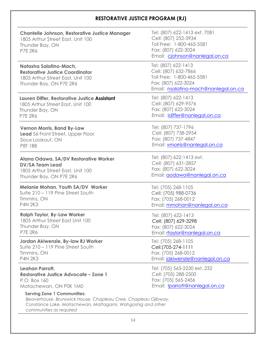# **RESTORATIVE JUSTICE PROGRAM (RJ)**

| <b>Chantelle Johnson, Restorative Justice Manager</b><br>1805 Arthur Street East, Unit 100<br>Thunder Bay, ON<br><b>P7E 2R6</b>                                    | Tel: (807) 622-1413 ext. 7081<br>Cell: (807) 252-3934<br>Toll Free: 1-800-465-5581<br>Fax: (807) 622-3024<br>Email: cjohnson@nanlegal.on.ca |
|--------------------------------------------------------------------------------------------------------------------------------------------------------------------|---------------------------------------------------------------------------------------------------------------------------------------------|
| Natasha Salatino-Mach,<br><b>Restorative Justice Coordinator</b><br>1805 Arthur Street East, Unit 100<br>Thunder Bay, ON P7E 2R6                                   | Tel: (807) 622-1413<br>Cell: (807) 632-7866<br>Toll Free: 1-800-465-5581<br>Fax: (807) 622-3024<br>Email: nsalatino-mach@nanlegal.on.ca     |
| Lauren Differ, Restorative Justice Assistant                                                                                                                       | Tel: (807) 622-1413                                                                                                                         |
| 1805 Arthur Street East, Unit 100                                                                                                                                  | Cell: (807) 629-9576                                                                                                                        |
| Thunder Bay, ON                                                                                                                                                    | Fax: (807) 622-3024                                                                                                                         |
| <b>P7E 2R6</b>                                                                                                                                                     | Email: Idiffer@nanlegal.on.ca                                                                                                               |
| <b>Vernon Morris, Band By-Law</b>                                                                                                                                  | Tel: (807) 737-1796                                                                                                                         |
| Lead 56 Front Street, Upper Floor                                                                                                                                  | Cell: (807) 738-2954                                                                                                                        |
| Sioux Lookout, ON                                                                                                                                                  | Fax: (807) 737-4847                                                                                                                         |
| <b>P8T 1B8</b>                                                                                                                                                     | Email: vmorris@nanlegal.on.ca                                                                                                               |
| Alana Odawa, SA/DV Restorative Worker                                                                                                                              | Tel: (807) 622-1413 ext.                                                                                                                    |
| <b>DV/SA Team Lead</b>                                                                                                                                             | Cell: (807) 631-2857                                                                                                                        |
| 1805 Arthur Street East, Unit 100                                                                                                                                  | Fax: (807) 622-3024                                                                                                                         |
| Thunder Bay, ON P7E 2R6                                                                                                                                            | Email: aodawa@nanlegal.on.ca                                                                                                                |
| <b>Melanie Mohan, Youth SA/DV Worker</b>                                                                                                                           | Tel: (705) 268-1105                                                                                                                         |
| Suite 210 - 119 Pine Street South                                                                                                                                  | Cell: (705) 988-0736                                                                                                                        |
| Timmins, ON                                                                                                                                                        | Fax: (705) 268-0012                                                                                                                         |
| <b>P4N 2K3</b>                                                                                                                                                     | Email: mmohan@nanlegal.on.ca                                                                                                                |
| <b>Ralph Taylor, By-Law Worker</b>                                                                                                                                 | Tel: (807) 622-1413                                                                                                                         |
| 1805 Arthur Street East Unit 100                                                                                                                                   | Cell: (807) 629-3298                                                                                                                        |
| Thunder Bay, ON                                                                                                                                                    | Fax: (807) 622-3024                                                                                                                         |
| <b>P7E 2R6</b>                                                                                                                                                     | Email: rtaylor@nanlegal.on.ca                                                                                                               |
| Jordan Akiwenzie, By-law RJ Worker                                                                                                                                 | Tel: (705) 268-1105                                                                                                                         |
| Suite 210 – 119 Pine Street South                                                                                                                                  | Cell: (705-274-1111                                                                                                                         |
| Timmins, ON                                                                                                                                                        | Fax: (705) 268-0012                                                                                                                         |
| <b>P4N 2K3</b>                                                                                                                                                     | Email: jakiwenzie@nanlegal.on.ca                                                                                                            |
| Leahan Parrott,                                                                                                                                                    | Tel: (705) 565-2230 ext. 232                                                                                                                |
| <b>Restorative Justice Advocate - Zone 1</b>                                                                                                                       | Cell: (705) 288-2500                                                                                                                        |
| P.O. Box 160                                                                                                                                                       | Fax: (705) 565-2456                                                                                                                         |
| Matachewan, ON P0K 1M0                                                                                                                                             | Email: Iparrott@nanlegal.on.ca                                                                                                              |
| <b>Serving Zone 1 Communities:</b><br>Beaverhouse, Brunswick House, Chapleau Cree, Chapleau Ojibway,<br>Constance Lake, Matachewan, Mattagami, Wahgoshig and other |                                                                                                                                             |

 *communities as required*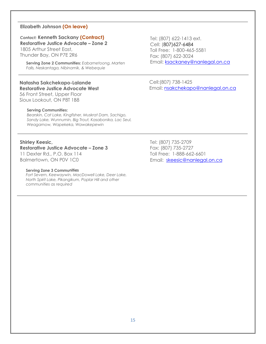#### **Elizabeth Johnson (On leave)**

# *Contact:* **Kenneth Sackany (Contract) Restorative Justice Advocate – Zone 2**

1805 Arthur Street East, Thunder Bay, ON P7E 2R6

> **Serving Zone 2 Communities:** *Eabametoong, Marten Falls, Neskantaga, Nibinamik, & Webequie*

## **Natasha Sakchekapo-Lalande Restorative Justice Advocate West**

56 Front Street, Upper Floor Sioux Lookout, ON P8T 1B8

#### **Serving Communities:**

*Bearskin, Cat Lake, Kingfisher, Muskrat Dam, Sachigo, Sandy Lake, Wunnumin, Big Trout, Kasabonika, Lac Seul, Weagamow, Wapekeka, Wawakepewin*

#### **Shirley Keesic,**

#### **Restorative Justice Advocate – Zone 3**

11 Dexter Rd., P.O. Box 114 Balmertown, ON P0V 1C0

#### **Serving Zone 3 Communitie**:**s**

*Fort Severn, Keewaywin, MacDowell Lake, Deer Lake, North Spirit Lake, Pikangikum, Poplar Hill and other communities as required* 

Tel: (807) 622-1413 ext. Cell: (807)627-6484 Toll Free: [1-800-465-5581](mailto:ejohnson@nanlegal.on.ca) Fax: (807) 622-3024 Email: ksackaney@nanlegal.on.ca

Cell:(8[07\) 738-1425](mailto:nsakchekapo@nanlegal.on.ca) Email: nsakchekapo@nanlegal.on.ca

Tel: (807) 735-2709 Fax: (807) 735-2727 Toll Free: 1-888-662-6601 Email: skeesic@nanlegal.on.ca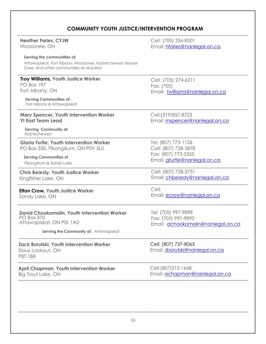# **COMMUNITY YOUTH JUSTICE/INTERVENTION PROGRAM**

| <b>Heather Faries, CYJW</b>                                                                                                                        | Cell: (705) 336-8501                                                  |
|----------------------------------------------------------------------------------------------------------------------------------------------------|-----------------------------------------------------------------------|
| Moosonee, ON                                                                                                                                       | Email: hfaries@nanlegal.on.ca                                         |
| Serving the communities of:<br>Attawapiskat, Fort Albany, Moosonee, Kashechewan Moose<br>Cree, and other communities as required                   |                                                                       |
| <b>Troy Williams, Youth Justice Worker</b><br><b>PO Box 197</b><br>Fort Albany, ON<br><b>Serving Communities of:</b><br>Fort Albany & Attawapiskat | Cell: (705) 274-6211<br>Fax: (705)<br>Email: twilliams@nanlegal.on.ca |
| Mary Spencer, Youth Intervention Worker                                                                                                            | Cell: (519) 857-8723                                                  |
| <b>YI East Team Lead</b>                                                                                                                           | Email: mspencer@nanlegal.on.ca                                        |
| <b>Serving Community of:</b><br>Kashechewan                                                                                                        |                                                                       |
| <b>Gloria Turtle, Youth Intervention Worker</b>                                                                                                    | Tel: (807) 773-1126                                                   |
| PO Box 330, Pikangikum, ON P0V 2L0                                                                                                                 | Cell: (807) 728-3878                                                  |
| <b>Serving Communities of</b>                                                                                                                      | Fax: (807) 773-5355                                                   |
| Pikangikum & Sandy Lake                                                                                                                            | Email: gturtle@nanlegal.on.ca                                         |
| <b>Chris Beardy, Youth Justice Worker</b>                                                                                                          | Cell: (807) 728-3731                                                  |
| Kingfisher Lake, ON                                                                                                                                | Email: chbeardy@nanlegal.on.ca                                        |
| <b>Elton Crow, Youth Justice Worker</b>                                                                                                            | Cell:                                                                 |
| Sandy Lake, ON                                                                                                                                     | Email: ecrow@nanlegal.on.ca                                           |
| <b>David Chookomolin, Youth Intervention Worker</b>                                                                                                | Tel: (705) 997-9898                                                   |
| <b>PO Box 370</b>                                                                                                                                  | Fax: (705) 997-9890                                                   |
| Attawapiskat, ON P0L 1A0                                                                                                                           | Email: dchookomolin@nanlegal.on.ca                                    |
| Serving the Community of: Attawapiskat                                                                                                             |                                                                       |
| Zack Borutski, Youth Intervention Worker<br>Sioux Lookout, ON<br><b>P8T 1B8</b>                                                                    | Cell: (807) 737-8065<br>Email: zborutski@nanlegal.on.ca               |
| <b>April Chapman, Youth Intervention Worker</b>                                                                                                    | Cell: (807) 212-1668                                                  |
| <b>Big Trout Lake, ON</b>                                                                                                                          | Email: achapman@nanlegal.on.ca                                        |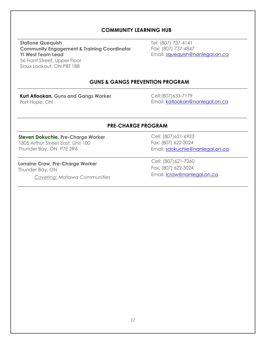#### **COMMUNITY LEARNING HUB**

**Stallone Quequish Community Engagement & Training Coordinator YI West Team Lead** 56 Front Street, Upper Floor Sioux Lookout, ON P8T 1B8

Tel: (807) 737-4141 Fax: (807) 737-4847 Email: [squequish@nanlegal.on.ca](mailto:squequish@nanlegal.on.ca)

#### **GUNS & GANGS PREVENTION PROGRAM**

**Kurt Atlookan, Guns and Gangs Worker** Fort Hope, ON

Cell:([807\)633-7179](mailto:gwabano@nanlegal.on.ca) Email: katlookan@nanlegal.on.ca

#### **PRE-CHARGE PROGRAM**

#### **Steven Dokuchie, Pre-Charge Worker**  1805 Arthur Street East, Unit 100 Thunder Bay, ON P7E 2R6

**Lorraine Crow, Pre-Charge Worker** Thunder Bay, ON *Covering: Matawa Communities* Cell: (807)621-6923 Fax: (807) 622-3024 Email: [sdokuchie@nanlegal.on.ca](mailto:zborutski@nanlegal.on.ca)

Cell: ([807\)621-7260](mailto:ahardisty@nanlegal.on.ca) Fax: (807) 622-3024 Email: lcrow@nanlegal.on.ca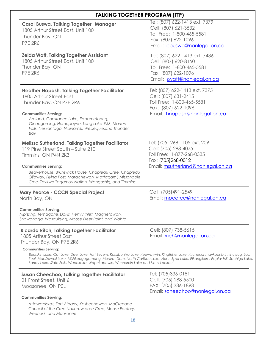# **TALKING TOGETHER PROGRAM (TTP)**

| <b>Carol Buswa, Talking Together Manager</b><br>1805 Arthur Street East, Unit 100<br>Thunder Bay, ON<br><b>P7E 2R6</b>                                                                                                                                                                                                                                                                                          | Tel: (807) 622-1413 ext. 7379<br>Cell: (807) 621-3532<br>Toll Free: 1-800-465-5581<br>Fax: (807) 622-1096<br>Email: cbuswa@nanlegal.on.ca    |
|-----------------------------------------------------------------------------------------------------------------------------------------------------------------------------------------------------------------------------------------------------------------------------------------------------------------------------------------------------------------------------------------------------------------|----------------------------------------------------------------------------------------------------------------------------------------------|
| <b>Zelda Watt, Talking Together Assistant</b><br>1805 Arthur Street East, Unit 100<br>Thunder Bay, ON<br><b>P7E 2R6</b>                                                                                                                                                                                                                                                                                         | Tel: (807) 622-1413 ext. 7436<br>Cell: (807) 620-8150<br>Toll Free: 1-800-465-5581<br>Fax: (807) 622-1096<br>Email: zwatt@nanlegal.on.ca     |
| <b>Heather Napash, Talking Together Facilitator</b><br>1805 Arthur Street East<br>Thunder Bay, ON P7E 2R6<br><b>Communities Serving:</b><br>Aroland, Constance Lake, Eabametoong,<br>Ginoogaming, Hornepayne, Long Lake #58, Marten<br>Falls, Neskantaga, Nibinamik, Webequie, and Thunder<br>Bay                                                                                                               | Tel: (807) 622-1413 ext. 7375<br>Cell: (807) 631-2415<br>Toll Free: 1-800-465-5581<br>Fax: (807) 622-1096<br>Email: hnapash@nanlegal.on.ca   |
| <b>Melissa Sutherland, Talking Together Facilitator</b><br>119 Pine Street South - Suite 210<br>Timmins, ON P4N 2K3<br><b>Communities Serving:</b><br>Beaverhouse, Brunswick House, Chapleau Cree, Chapleau<br>Ojibway, Flying Post, Matachewan, Mattagami, Missanabie<br>Cree, Taykwa Tagamou Nation, Wahgoshig, and Timmins                                                                                   | Tel: (705) 268-1105 ext. 209<br>Cell: (705) 288-4075<br>Toll Free: 1-877-268-0335<br>Fax: (705)268-0012<br>Email: msutherland@nanlegal.on.ca |
| <b>Mary Pearce - CCCN Special Project</b><br>North Bay, ON                                                                                                                                                                                                                                                                                                                                                      | Cell: (705) 491-2549<br>Email: mpearce@nanlegal.on.ca                                                                                        |
| <b>Communities Serving:</b><br>Nipissing, Temagami, Dokis, Henvy Inlet, Magnetawan,<br>Shawanaga, Wasauksing, Moose Deer Point, and Wahta                                                                                                                                                                                                                                                                       |                                                                                                                                              |
| <b>Ricarda Ritch, Talking Together Facilitator</b><br>1805 Arthur Street East<br>Thunder Bay, ON P7E 2R6<br><b>Communities Serving:</b><br>Bearskin Lake, Cat Lake, Deer Lake, Fort Severn, Kasabonika Lake, Keewaywin, Kingfisher Lake, Kitchenuhmaykoosib Inninuwug, Lac<br>Seul, MacDowell Lake, Mishkeegogamang, Muskrat Dam, North Caribou Lake, North Spirit Lake, Pikangikum, Poplar Hill, Sachigo Lake, | Cell: (807) 738-5615<br>Email: rich@nanlegal.on.ca                                                                                           |
| Sandy Lake, Slate Falls, Wapekeka, Wapekapewin, Wunnumin Lake and Sioux Lookout<br><b>Susan Cheechoo, Talking Together Facilitator</b><br>21 Front Street, Unit 6<br>Moosonee, ON P0L                                                                                                                                                                                                                           | Tel: (705)336-0151<br>Cell: (705) 288-5500<br>FAX: (705) 336-1893<br>Email: scheechoo@nanlegal.on.ca                                         |

#### **Communities Serving:**

*Attawapiskat, Fort Albany, Kashechewan, MoCreebec Council of the Cree Nation, Moose Cree, Moose Factory, Weenusk, and Moosonee*